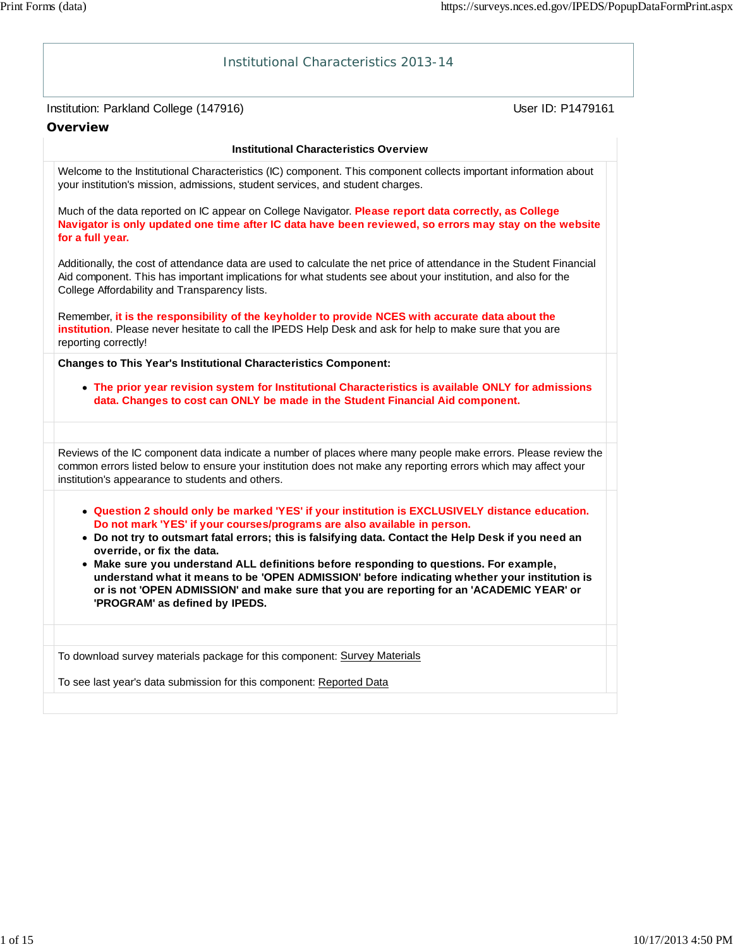| <b>Institutional Characteristics 2013-14</b>                                                                                                                                                                                                                                                                                                                                                                                                                                                                                                                                                                                                 |                   |
|----------------------------------------------------------------------------------------------------------------------------------------------------------------------------------------------------------------------------------------------------------------------------------------------------------------------------------------------------------------------------------------------------------------------------------------------------------------------------------------------------------------------------------------------------------------------------------------------------------------------------------------------|-------------------|
| Institution: Parkland College (147916)<br><b>Overview</b>                                                                                                                                                                                                                                                                                                                                                                                                                                                                                                                                                                                    | User ID: P1479161 |
| <b>Institutional Characteristics Overview</b>                                                                                                                                                                                                                                                                                                                                                                                                                                                                                                                                                                                                |                   |
| Welcome to the Institutional Characteristics (IC) component. This component collects important information about<br>your institution's mission, admissions, student services, and student charges.                                                                                                                                                                                                                                                                                                                                                                                                                                           |                   |
| Much of the data reported on IC appear on College Navigator. Please report data correctly, as College<br>Navigator is only updated one time after IC data have been reviewed, so errors may stay on the website<br>for a full year.                                                                                                                                                                                                                                                                                                                                                                                                          |                   |
| Additionally, the cost of attendance data are used to calculate the net price of attendance in the Student Financial<br>Aid component. This has important implications for what students see about your institution, and also for the<br>College Affordability and Transparency lists.                                                                                                                                                                                                                                                                                                                                                       |                   |
| Remember, it is the responsibility of the keyholder to provide NCES with accurate data about the<br>institution. Please never hesitate to call the IPEDS Help Desk and ask for help to make sure that you are<br>reporting correctly!                                                                                                                                                                                                                                                                                                                                                                                                        |                   |
| <b>Changes to This Year's Institutional Characteristics Component:</b>                                                                                                                                                                                                                                                                                                                                                                                                                                                                                                                                                                       |                   |
| • The prior year revision system for Institutional Characteristics is available ONLY for admissions<br>data. Changes to cost can ONLY be made in the Student Financial Aid component.                                                                                                                                                                                                                                                                                                                                                                                                                                                        |                   |
|                                                                                                                                                                                                                                                                                                                                                                                                                                                                                                                                                                                                                                              |                   |
| Reviews of the IC component data indicate a number of places where many people make errors. Please review the<br>common errors listed below to ensure your institution does not make any reporting errors which may affect your<br>institution's appearance to students and others.                                                                                                                                                                                                                                                                                                                                                          |                   |
| • Question 2 should only be marked 'YES' if your institution is EXCLUSIVELY distance education.<br>Do not mark 'YES' if your courses/programs are also available in person.<br>• Do not try to outsmart fatal errors; this is falsifying data. Contact the Help Desk if you need an<br>override, or fix the data.<br>• Make sure you understand ALL definitions before responding to questions. For example,<br>understand what it means to be 'OPEN ADMISSION' before indicating whether your institution is<br>or is not 'OPEN ADMISSION' and make sure that you are reporting for an 'ACADEMIC YEAR' or<br>'PROGRAM' as defined by IPEDS. |                   |
|                                                                                                                                                                                                                                                                                                                                                                                                                                                                                                                                                                                                                                              |                   |
| To download survey materials package for this component: Survey Materials                                                                                                                                                                                                                                                                                                                                                                                                                                                                                                                                                                    |                   |
| To see last year's data submission for this component: Reported Data                                                                                                                                                                                                                                                                                                                                                                                                                                                                                                                                                                         |                   |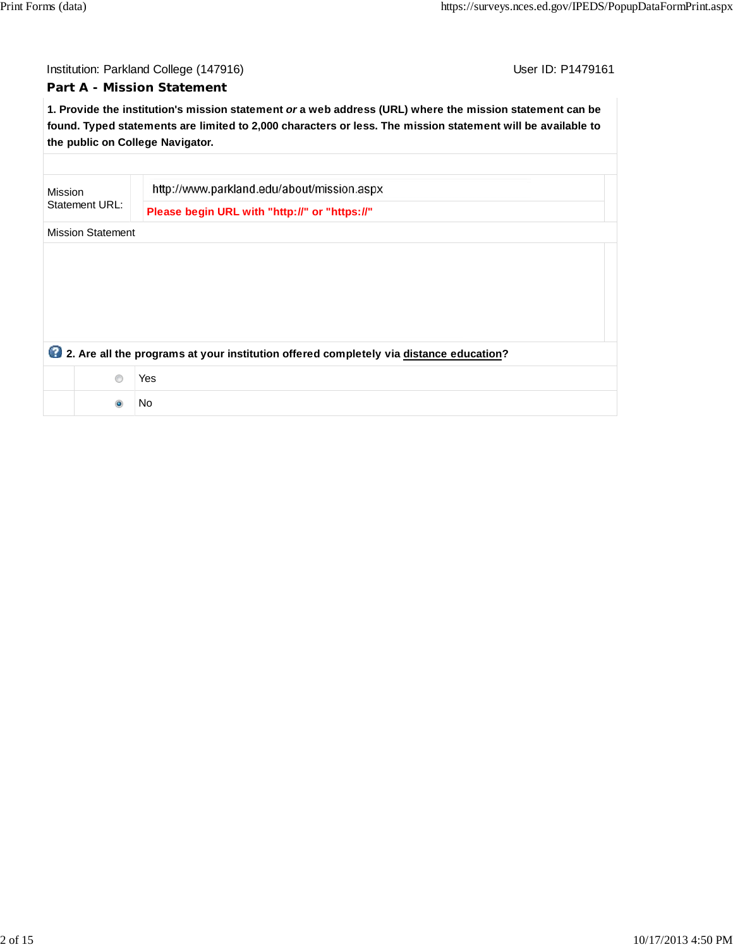# Institution: Parkland College (147916) **Institution: Parkland College (147916**)

# **Part A - Mission Statement**

**1. Provide the institution's mission statement** *or* **a web address (URL) where the mission statement can be found. Typed statements are limited to 2,000 characters or less. The mission statement will be available to the public on College Navigator.**

| Mission<br>Statement URL: |                                                                                        | http://www.parkland.edu/about/mission.aspx    |  |  |  |
|---------------------------|----------------------------------------------------------------------------------------|-----------------------------------------------|--|--|--|
|                           |                                                                                        | Please begin URL with "http://" or "https://" |  |  |  |
|                           | <b>Mission Statement</b>                                                               |                                               |  |  |  |
|                           |                                                                                        |                                               |  |  |  |
|                           |                                                                                        |                                               |  |  |  |
|                           |                                                                                        |                                               |  |  |  |
|                           |                                                                                        |                                               |  |  |  |
|                           |                                                                                        |                                               |  |  |  |
|                           | 2. Are all the programs at your institution offered completely via distance education? |                                               |  |  |  |
|                           | ∩                                                                                      | Yes                                           |  |  |  |
|                           |                                                                                        | No                                            |  |  |  |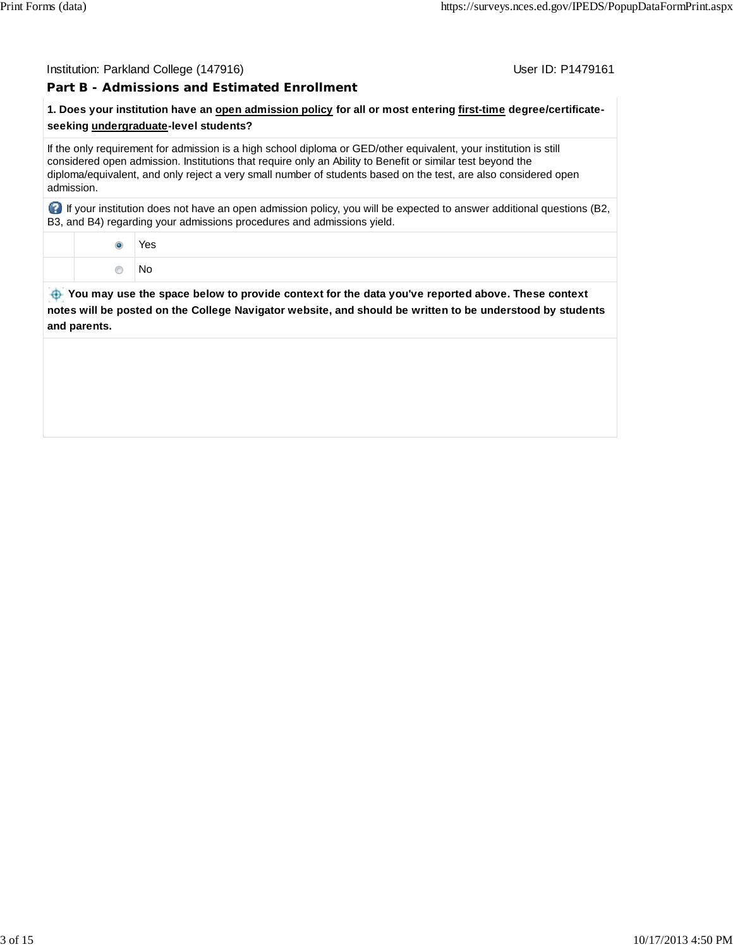#### Institution: Parkland College (147916) November 2012 12: Physics User ID: P1479161

#### **Part B - Admissions and Estimated Enrollment**

# **1. Does your institution have an open admission policy for all or most entering first-time degree/certificateseeking undergraduate-level students?**

If the only requirement for admission is a high school diploma or GED/other equivalent, your institution is still considered open admission. Institutions that require only an Ability to Benefit or similar test beyond the diploma/equivalent, and only reject a very small number of students based on the test, are also considered open admission.

 If your institution does not have an open admission policy, you will be expected to answer additional questions (B2, B3, and B4) regarding your admissions procedures and admissions yield.

> Yes No

 **You may use the space below to provide context for the data you've reported above. These context notes will be posted on the College Navigator website, and should be written to be understood by students and parents.**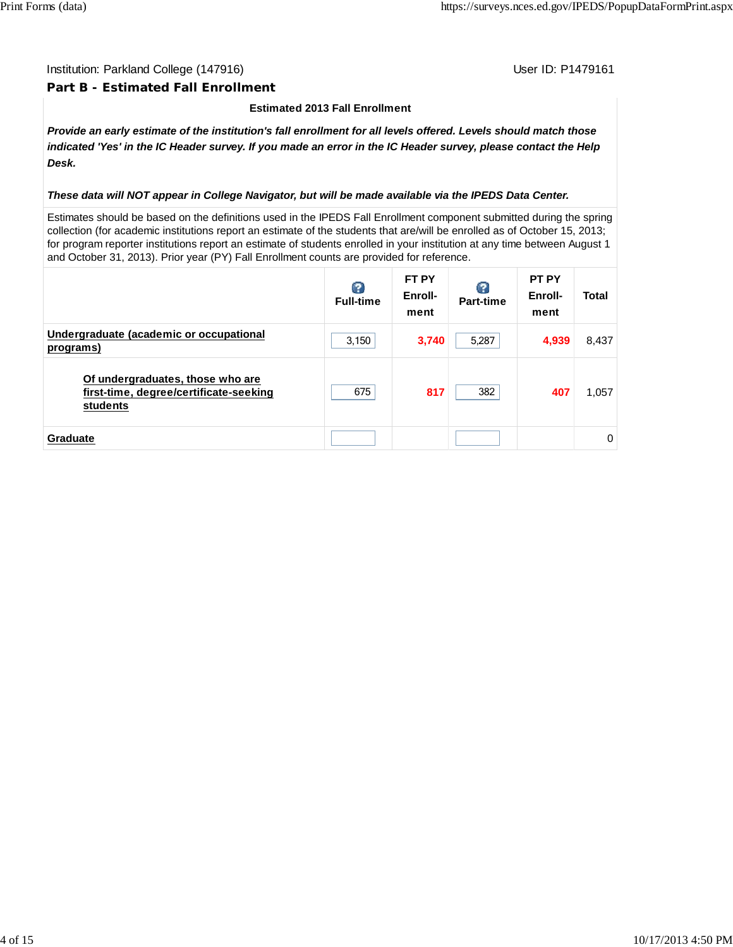#### Institution: Parkland College (147916) November 2012 12: Physics User ID: P1479161

#### **Part B - Estimated Fall Enrollment**

#### **Estimated 2013 Fall Enrollment**

*Provide an early estimate of the institution's fall enrollment for all levels offered. Levels should match those indicated 'Yes' in the IC Header survey. If you made an error in the IC Header survey, please contact the Help Desk.*

#### *These data will NOT appear in College Navigator, but will be made available via the IPEDS Data Center.*

Estimates should be based on the definitions used in the IPEDS Fall Enrollment component submitted during the spring collection (for academic institutions report an estimate of the students that are/will be enrolled as of October 15, 2013; for program reporter institutions report an estimate of students enrolled in your institution at any time between August 1 and October 31, 2013). Prior year (PY) Fall Enrollment counts are provided for reference.

|                                                                                        | B<br><b>Full-time</b> | FT PY<br>Enroll-<br>ment | Part-time | <b>PT PY</b><br>Enroll-<br>ment | <b>Total</b> |
|----------------------------------------------------------------------------------------|-----------------------|--------------------------|-----------|---------------------------------|--------------|
| Undergraduate (academic or occupational<br>programs)                                   | 3,150                 | 3,740                    | 5,287     | 4,939                           | 8,437        |
| Of undergraduates, those who are<br>first-time, degree/certificate-seeking<br>students | 675                   | 817                      | 382       | 407                             | 1,057        |
| <b>Graduate</b>                                                                        |                       |                          |           |                                 | $\Omega$     |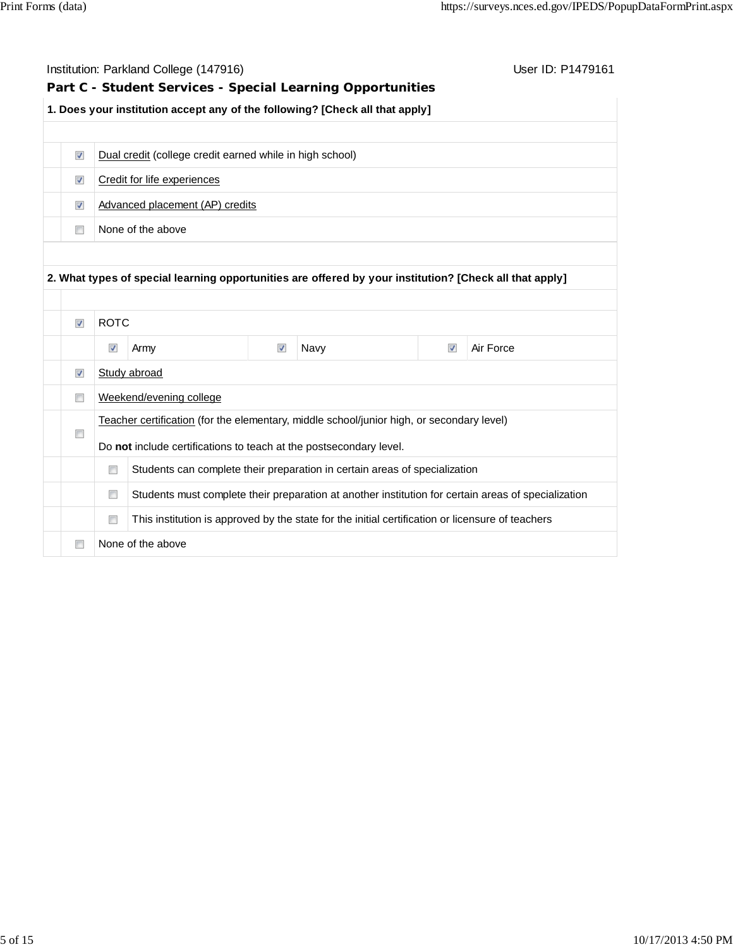|                         |                          | Institution: Parkland College (147916)                             |                      |                                                                                                         |                         | User ID: P1479161                                                                                   |
|-------------------------|--------------------------|--------------------------------------------------------------------|----------------------|---------------------------------------------------------------------------------------------------------|-------------------------|-----------------------------------------------------------------------------------------------------|
|                         |                          |                                                                    |                      | Part C - Student Services - Special Learning Opportunities                                              |                         |                                                                                                     |
|                         |                          |                                                                    |                      | 1. Does your institution accept any of the following? [Check all that apply]                            |                         |                                                                                                     |
|                         |                          |                                                                    |                      |                                                                                                         |                         |                                                                                                     |
| $\blacktriangledown$    |                          | Dual credit (college credit earned while in high school)           |                      |                                                                                                         |                         |                                                                                                     |
| $\blacktriangledown$    |                          | Credit for life experiences                                        |                      |                                                                                                         |                         |                                                                                                     |
| $\overline{\mathsf{v}}$ |                          | Advanced placement (AP) credits                                    |                      |                                                                                                         |                         |                                                                                                     |
| $\Box$                  |                          | None of the above                                                  |                      |                                                                                                         |                         |                                                                                                     |
|                         |                          |                                                                    |                      |                                                                                                         |                         |                                                                                                     |
|                         |                          |                                                                    |                      |                                                                                                         |                         |                                                                                                     |
|                         |                          |                                                                    |                      | 2. What types of special learning opportunities are offered by your institution? [Check all that apply] |                         |                                                                                                     |
|                         |                          |                                                                    |                      |                                                                                                         |                         |                                                                                                     |
| $\blacktriangledown$    | <b>ROTC</b>              |                                                                    |                      |                                                                                                         |                         |                                                                                                     |
|                         |                          |                                                                    |                      |                                                                                                         |                         |                                                                                                     |
|                         | $\overline{\mathcal{A}}$ | Army                                                               | $\blacktriangledown$ | Navy                                                                                                    | $\overline{\mathsf{v}}$ | Air Force                                                                                           |
| $\blacktriangledown$    |                          | Study abroad                                                       |                      |                                                                                                         |                         |                                                                                                     |
| n                       |                          | Weekend/evening college                                            |                      |                                                                                                         |                         |                                                                                                     |
|                         |                          |                                                                    |                      | Teacher certification (for the elementary, middle school/junior high, or secondary level)               |                         |                                                                                                     |
| n                       |                          |                                                                    |                      |                                                                                                         |                         |                                                                                                     |
|                         | n                        | Do not include certifications to teach at the postsecondary level. |                      |                                                                                                         |                         |                                                                                                     |
|                         |                          |                                                                    |                      | Students can complete their preparation in certain areas of specialization                              |                         |                                                                                                     |
|                         | $\Box$                   |                                                                    |                      |                                                                                                         |                         | Students must complete their preparation at another institution for certain areas of specialization |
|                         | $\Box$                   |                                                                    |                      | This institution is approved by the state for the initial certification or licensure of teachers        |                         |                                                                                                     |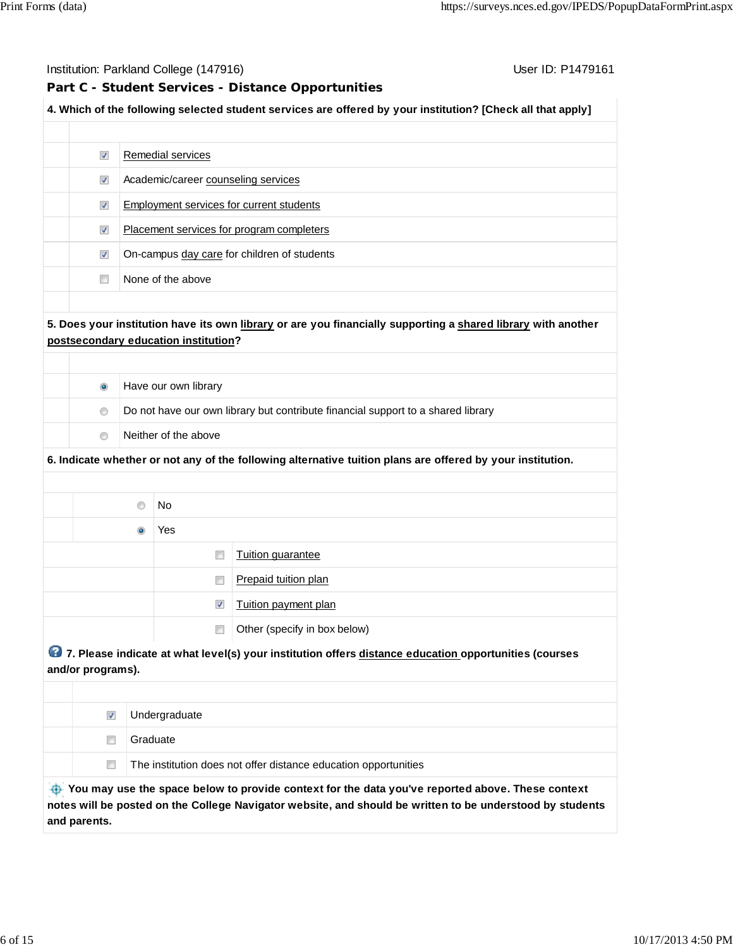Institution: Parkland College (147916) November 2012 12: P1479161

# **Part C - Student Services - Distance Opportunities**

# **4. Which of the following selected student services are offered by your institution? [Check all that apply]**

| $\overline{\mathsf{v}}$ | Remedial services                           |
|-------------------------|---------------------------------------------|
| $\blacktriangledown$    | Academic/career counseling services         |
| $\overline{\mathsf{v}}$ | Employment services for current students    |
| $\overline{\mathsf{v}}$ | Placement services for program completers   |
| $\overline{\mathsf{v}}$ | On-campus day care for children of students |
|                         | None of the above                           |

# **5. Does your institution have its own library or are you financially supporting a shared library with another postsecondary education institution?**

| $\bullet$      | Have our own library                                                             |
|----------------|----------------------------------------------------------------------------------|
| $\circledcirc$ | Do not have our own library but contribute financial support to a shared library |
|                | Neither of the above                                                             |

#### **6. Indicate whether or not any of the following alternative tuition plans are offered by your institution.**

| $\circ$   | No.                  |                              |
|-----------|----------------------|------------------------------|
| $\bullet$ | Yes                  |                              |
|           | $\Box$               | Tuition guarantee            |
|           | n                    | Prepaid tuition plan         |
|           | $\blacktriangledown$ | Tuition payment plan         |
|           | n                    | Other (specify in box below) |
|           |                      |                              |

# **7. Please indicate at what level(s) your institution offers distance education opportunities (courses and/or programs).**

|                                                                                                  | Undergraduate                                                   |  |  |
|--------------------------------------------------------------------------------------------------|-----------------------------------------------------------------|--|--|
|                                                                                                  | Graduate                                                        |  |  |
|                                                                                                  | The institution does not offer distance education opportunities |  |  |
| You may use the space below to provide context for the data you've reported above. These context |                                                                 |  |  |

**notes will be posted on the College Navigator website, and should be written to be understood by students and parents.**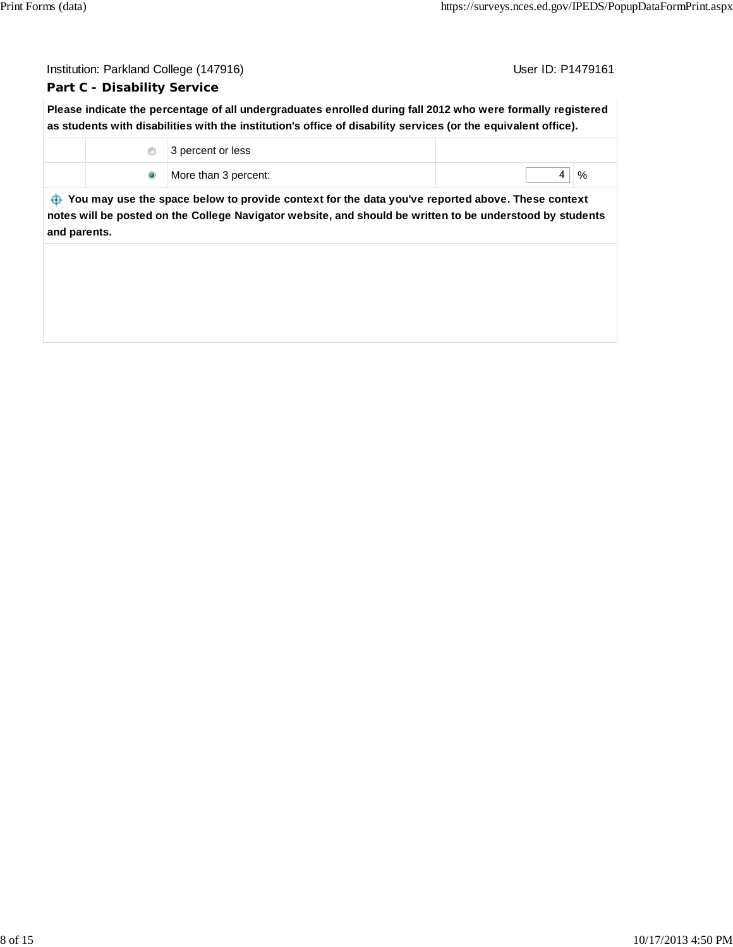| Institution: Parkland College (147916)<br>User ID: P1479161 |                                                                                                                                                                                                                               |        |
|-------------------------------------------------------------|-------------------------------------------------------------------------------------------------------------------------------------------------------------------------------------------------------------------------------|--------|
| <b>Part C - Disability Service</b>                          |                                                                                                                                                                                                                               |        |
|                                                             | Please indicate the percentage of all undergraduates enrolled during fall 2012 who were formally registered<br>as students with disabilities with the institution's office of disability services (or the equivalent office). |        |
| ◉                                                           | 3 percent or less                                                                                                                                                                                                             |        |
| $\bullet$                                                   | More than 3 percent:                                                                                                                                                                                                          | %<br>4 |
| ⊕<br>and parents.                                           | You may use the space below to provide context for the data you've reported above. These context<br>notes will be posted on the College Navigator website, and should be written to be understood by students                 |        |
|                                                             |                                                                                                                                                                                                                               |        |
|                                                             |                                                                                                                                                                                                                               |        |
|                                                             |                                                                                                                                                                                                                               |        |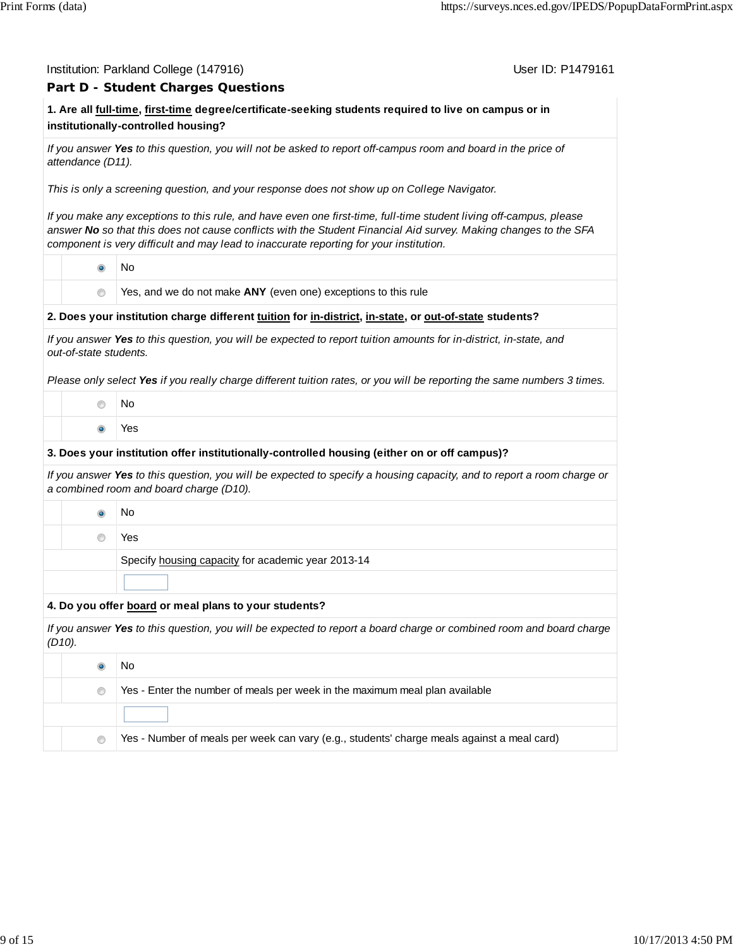# **Part D - Student Charges Questions**

User ID: P1479161

# **1. Are all full-time, first-time degree/certificate-seeking students required to live on campus or in institutionally-controlled housing?**

*If you answer Yes to this question, you will not be asked to report off-campus room and board in the price of attendance (D11).*

*This is only a screening question, and your response does not show up on College Navigator.*

*If you make any exceptions to this rule, and have even one first-time, full-time student living off-campus, please answer No so that this does not cause conflicts with the Student Financial Aid survey. Making changes to the SFA component is very difficult and may lead to inaccurate reporting for your institution.*

No

Yes, and we do not make **ANY** (even one) exceptions to this rule

#### **2. Does your institution charge different tuition for in-district, in-state, or out-of-state students?**

*If you answer Yes to this question, you will be expected to report tuition amounts for in-district, in-state, and out-of-state students.*

*Please only select Yes if you really charge different tuition rates, or you will be reporting the same numbers 3 times.*

- No
- Yes

#### **3. Does your institution offer institutionally-controlled housing (either on or off campus)?**

*If you answer Yes to this question, you will be expected to specify a housing capacity, and to report a room charge or a combined room and board charge (D10).*

|  | Νo                                                 |
|--|----------------------------------------------------|
|  | Yes                                                |
|  | Specify housing capacity for academic year 2013-14 |
|  |                                                    |

#### **4. Do you offer board or meal plans to your students?**

*If you answer Yes to this question, you will be expected to report a board charge or combined room and board charge (D10).*

|            | No                                                                                         |
|------------|--------------------------------------------------------------------------------------------|
| $^{\circ}$ | Yes - Enter the number of meals per week in the maximum meal plan available                |
|            |                                                                                            |
| $\circ$    | Yes - Number of meals per week can vary (e.g., students' charge meals against a meal card) |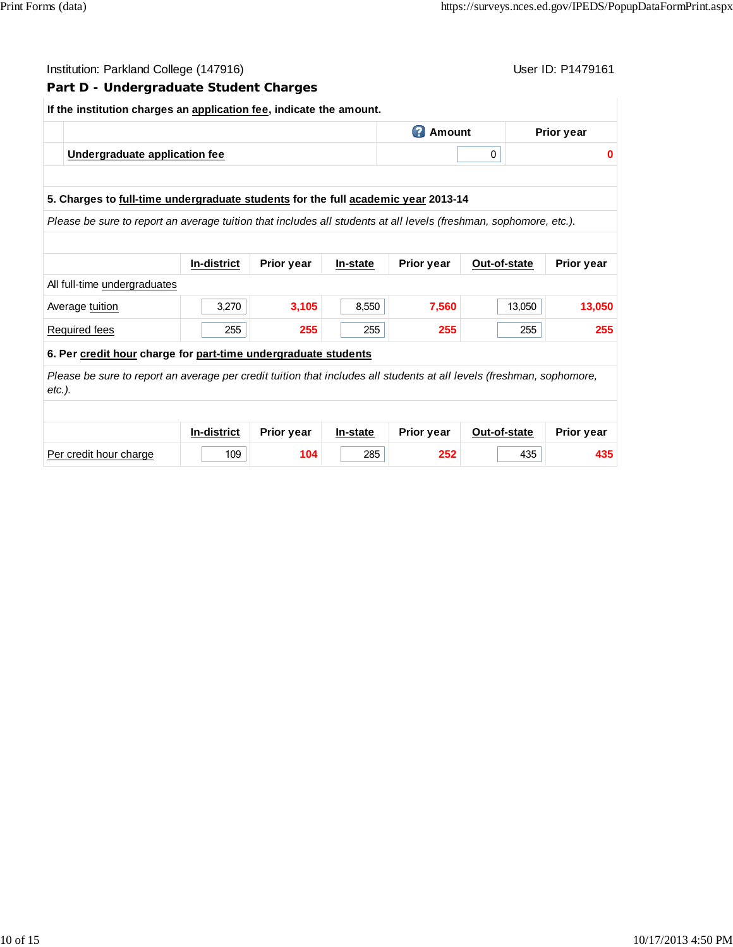#### Institution: Parkland College (147916) November 2012 12: Physics User ID: P1479161

#### **Part D - Undergraduate Student Charges**

# **If the institution charges an application fee, indicate the amount. Amount** Prior year **Undergraduate application fee** 0 **0 5. Charges to full-time undergraduate students for the full academic year 2013-14** *Please be sure to report an average tuition that includes all students at all levels (freshman, sophomore, etc.).* **In-district Prior year In-state Prior year Out-of-state Prior year** All full-time undergraduates Average <u>tuition</u> 13,050 **3,270** 3,105 8,550 7,560 13,050 13,050 Required fees 255 **255** 255 **255** 255 **255 6. Per credit hour charge for part-time undergraduate students** *Please be sure to report an average per credit tuition that includes all students at all levels (freshman, sophomore, etc.).* **In-district Prior year In-state Prior year Out-of-state Prior year** Per credit hour charge 109 **104** 285 **252** 435 **435**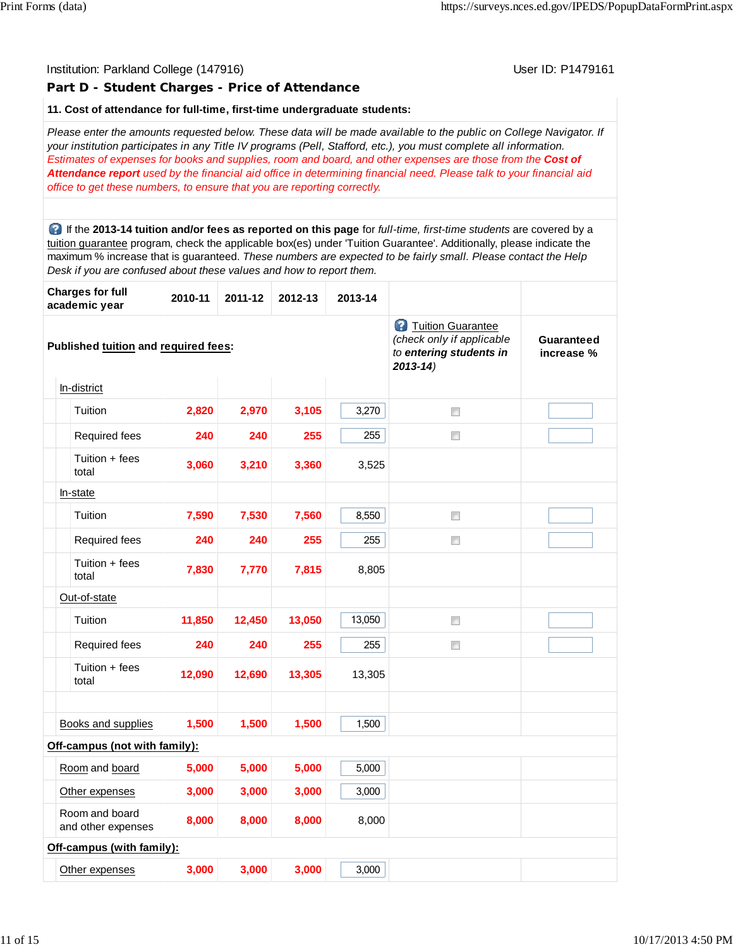# Institution: Parkland College (147916) November 2012 12: Physics User ID: P1479161 **Part D - Student Charges - Price of Attendance 11. Cost of attendance for full-time, first-time undergraduate students:** *Please enter the amounts requested below. These data will be made available to the public on College Navigator. If your institution participates in any Title IV programs (Pell, Stafford, etc.), you must complete all information. Estimates of expenses for books and supplies, room and board, and other expenses are those from the Cost of Attendance report used by the financial aid office in determining financial need. Please talk to your financial aid office to get these numbers, to ensure that you are reporting correctly.* If the **2013-14 tuition and/or fees as reported on this page** for *full-time, first-time students* are covered by a tuition guarantee program, check the applicable box(es) under 'Tuition Guarantee'. Additionally, please indicate the maximum % increase that is guaranteed. *These numbers are expected to be fairly small. Please contact the Help Desk if you are confused about these values and how to report them.* **Charges for full academic year 2010-11 2011-12 2012-13 2013-14 2** Tuition Guarantee *(check only if applicable* **Guaranteed Published tuition and required fees:** *to entering students in* **increase %** *2013-14)* In-district  $\Box$ **Tuition** 2,820 2,970 3,105 3,270 Required fees **240 240 255** 255  $\Box$  Tuition + fees total **3,060 3,210 3,360** 3,525 In-state  $\Box$  Tuition **7,590 7,530 7,560** 8,550 Required fees **240 240 255** 255  $\Box$  Tuition + fees total **7,830 7,770 7,815** 8,805 Out-of-state  $\Box$  Tuition **11,850 12,450 13,050** 13,050 Required fees **240 240 255** 255  $\Box$  Tuition + fees total **12,090 12,690 13,305** 13,305 Books and supplies **1,500 1,500 1,500** 1,500 **Off-campus (not with family):** Room and board **5,000 5,000 5,000** 5,000 Other expenses **3,000 3,000 3,000** 3,000 Room and board and other expenses **8,000 8,000 8,000** 8,000 **Off-campus (with family):** Other expenses **3,000 3,000 3,000** 3,000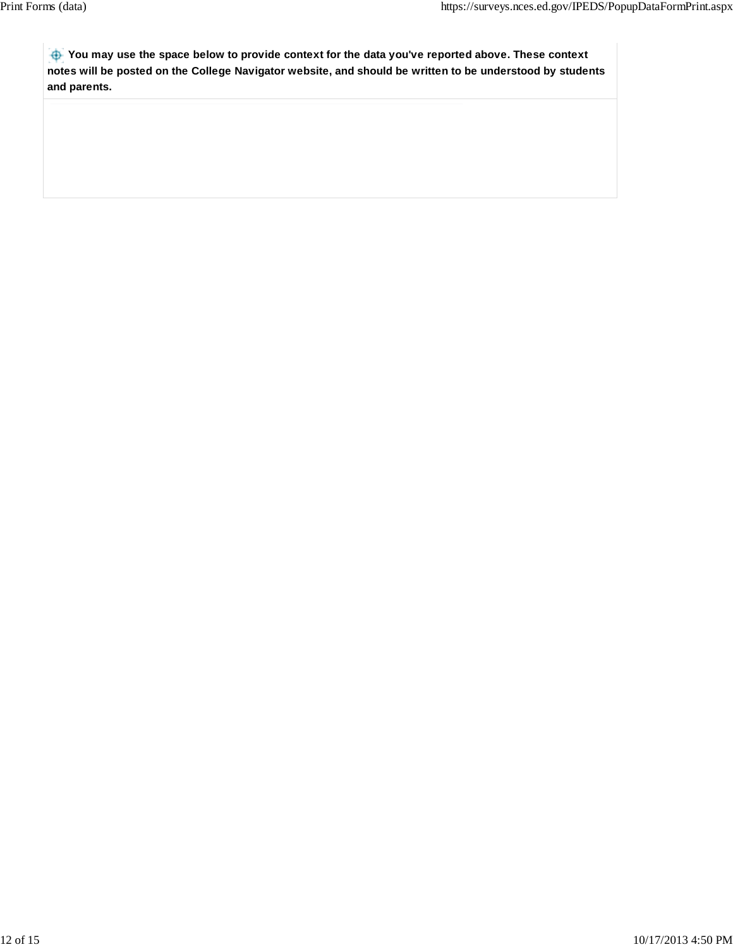**You may use the space below to provide context for the data you've reported above. These context notes will be posted on the College Navigator website, and should be written to be understood by students and parents.**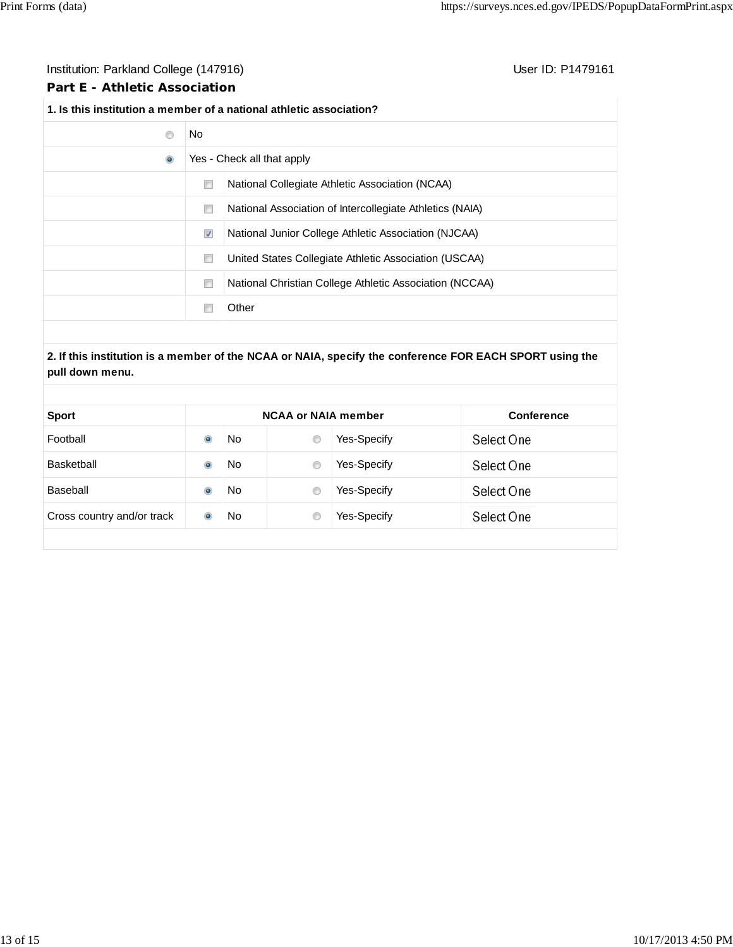# Institution: Parkland College (147916) **Institution: Parkland College (147916**)

# **Part E - Athletic Association**

# **1. Is this institution a member of a national athletic association?**

| C         | No                         |                                                          |  |
|-----------|----------------------------|----------------------------------------------------------|--|
| $\bullet$ | Yes - Check all that apply |                                                          |  |
|           | O                          | National Collegiate Athletic Association (NCAA)          |  |
|           | n                          | National Association of Intercollegiate Athletics (NAIA) |  |
|           | $\blacktriangledown$       | National Junior College Athletic Association (NJCAA)     |  |
|           | o                          | United States Collegiate Athletic Association (USCAA)    |  |
|           | e                          | National Christian College Athletic Association (NCCAA)  |  |
|           |                            | Other                                                    |  |

# **2. If this institution is a member of the NCAA or NAIA, specify the conference FOR EACH SPORT using the pull down menu.**

| <b>NCAA or NAIA member</b> |    |   |                    | <b>Conference</b> |  |  |
|----------------------------|----|---|--------------------|-------------------|--|--|
|                            | No | € | Yes-Specify        | Select One        |  |  |
|                            | No | € | <b>Yes-Specify</b> | Select One        |  |  |
|                            | No | € | Yes-Specify        | Select One        |  |  |
|                            | No | € | <b>Yes-Specify</b> | Select One        |  |  |
|                            |    |   |                    |                   |  |  |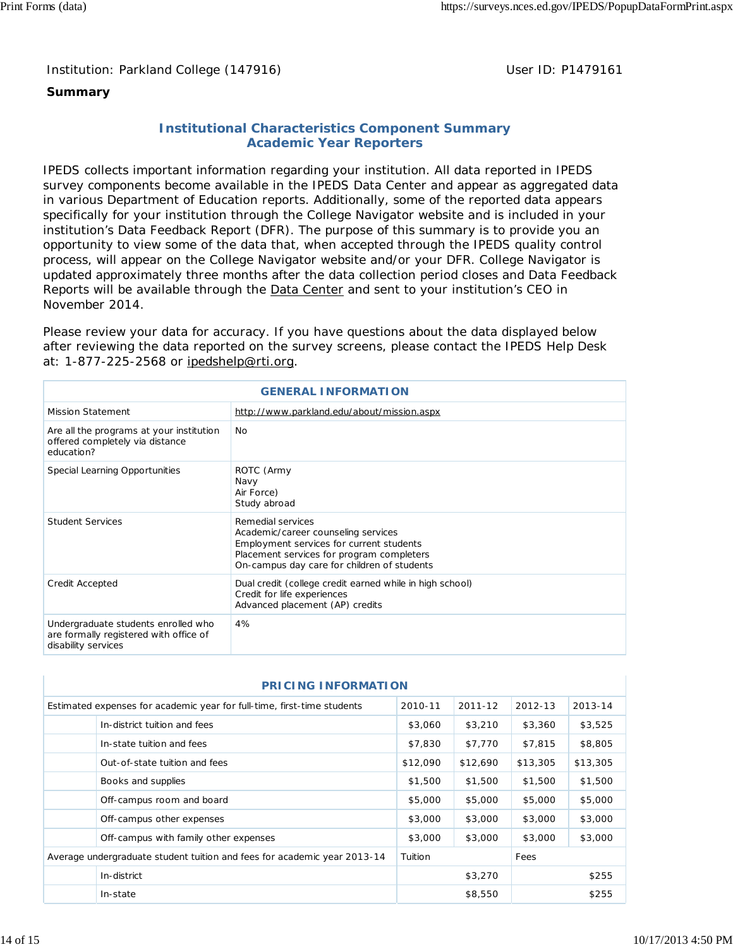# Institution: Parkland College (147916) Noting the Muslim User ID: P1479161

# **Summary**

# **Institutional Characteristics Component Summary Academic Year Reporters**

IPEDS collects important information regarding your institution. All data reported in IPEDS survey components become available in the IPEDS Data Center and appear as aggregated data in various Department of Education reports. Additionally, some of the reported data appears specifically for your institution through the College Navigator website and is included in your institution's Data Feedback Report (DFR). The purpose of this summary is to provide you an opportunity to view some of the data that, when accepted through the IPEDS quality control process, will appear on the College Navigator website and/or your DFR. College Navigator is updated approximately three months after the data collection period closes and Data Feedback Reports will be available through the Data Center and sent to your institution's CEO in November 2014.

Please review your data for accuracy. If you have questions about the data displayed below after reviewing the data reported on the survey screens, please contact the IPEDS Help Desk at: 1-877-225-2568 or ipedshelp@rti.org.

| <b>GENERAL INFORMATION</b>                                                                           |                                                                                                                                                                                                  |  |  |  |
|------------------------------------------------------------------------------------------------------|--------------------------------------------------------------------------------------------------------------------------------------------------------------------------------------------------|--|--|--|
| <b>Mission Statement</b>                                                                             | http://www.parkland.edu/about/mission.aspx                                                                                                                                                       |  |  |  |
| Are all the programs at your institution<br>offered completely via distance<br>education?            | No                                                                                                                                                                                               |  |  |  |
| Special Learning Opportunities                                                                       | ROTC (Army<br>Navy<br>Air Force)<br>Study abroad                                                                                                                                                 |  |  |  |
| <b>Student Services</b>                                                                              | Remedial services<br>Academic/career counseling services<br>Employment services for current students<br>Placement services for program completers<br>On-campus day care for children of students |  |  |  |
| Credit Accepted                                                                                      | Dual credit (college credit earned while in high school)<br>Credit for life experiences<br>Advanced placement (AP) credits                                                                       |  |  |  |
| Undergraduate students enrolled who<br>are formally registered with office of<br>disability services | 4%                                                                                                                                                                                               |  |  |  |

| <b>PRICING INFORMATION</b> |                                                                          |          |             |          |          |
|----------------------------|--------------------------------------------------------------------------|----------|-------------|----------|----------|
|                            | Estimated expenses for academic year for full-time, first-time students  | 2010-11  | $2011 - 12$ | 2012-13  | 2013-14  |
|                            | In-district tuition and fees                                             | \$3,060  | \$3,210     | \$3,360  | \$3,525  |
|                            | In-state tuition and fees                                                | \$7,830  | \$7,770     | \$7,815  | \$8,805  |
|                            | Out-of-state tuition and fees                                            | \$12,090 | \$12,690    | \$13,305 | \$13,305 |
|                            | Books and supplies                                                       | \$1,500  | \$1,500     | \$1,500  | \$1,500  |
|                            | Off-campus room and board                                                | \$5,000  | \$5,000     | \$5,000  | \$5,000  |
|                            | Off-campus other expenses                                                | \$3,000  | \$3,000     | \$3,000  | \$3,000  |
|                            | Off-campus with family other expenses                                    | \$3,000  | \$3,000     | \$3,000  | \$3,000  |
|                            | Average undergraduate student tuition and fees for academic year 2013-14 | Tuition  |             | Fees     |          |
|                            | In-district                                                              |          | \$3,270     |          | \$255    |
|                            | In-state                                                                 |          | \$8,550     |          | \$255    |